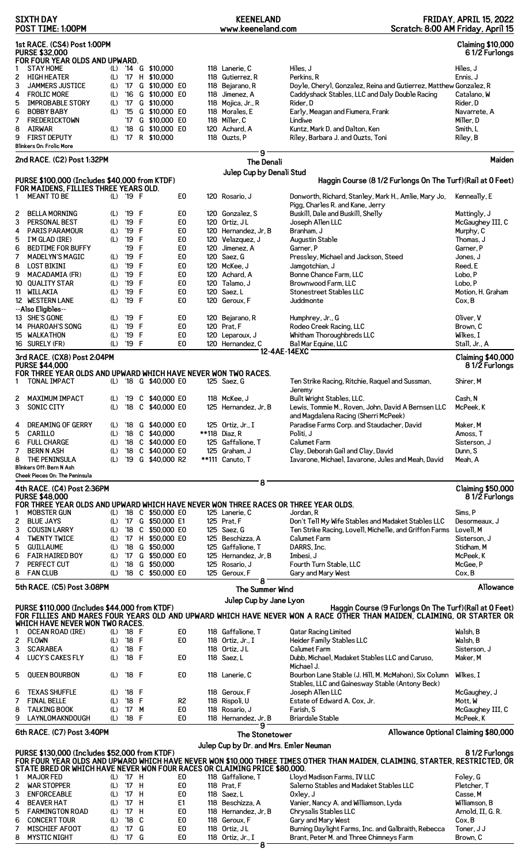|              | <b>SIXTH DAY</b><br>POST TIME: 1:00PM                                               |            |                |              |                                                |                                  | <b>KEENELAND</b><br>www.keeneland.com         |                                                                                                                              | <b>FRIDAY, APRIL 15, 2022</b><br>Scratch: 8:00 AM Friday, April 15 |
|--------------|-------------------------------------------------------------------------------------|------------|----------------|--------------|------------------------------------------------|----------------------------------|-----------------------------------------------|------------------------------------------------------------------------------------------------------------------------------|--------------------------------------------------------------------|
|              | 1st RACE. (CS4) Post 1:00PM                                                         |            |                |              |                                                |                                  |                                               |                                                                                                                              | <b>Claiming \$10,000</b>                                           |
|              | <b>PURSE \$32,000</b>                                                               |            |                |              |                                                |                                  |                                               |                                                                                                                              | 61/2 Furlongs                                                      |
| 1            | FOR FOUR YEAR OLDS AND UPWARD.<br><b>STAY HOME</b>                                  |            |                |              | (L) '14 G \$10,000                             |                                  | 118 Lanerie, C                                | Hiles, J                                                                                                                     | Hiles, J                                                           |
| 2            | <b>HIGH HEATER</b>                                                                  | (L)        |                |              | '17 H \$10,000                                 |                                  | 118 Gutierrez, R                              | Perkins, R                                                                                                                   | Ennis, J                                                           |
| 3            | JAMMERS JUSTICE                                                                     | (L)        | 17             |              | G \$10,000 E0                                  |                                  | 118 Bejarano, R                               | Doyle, Cheryl, Gonzalez, Reina and Gutierrez, Matthew Gonzalez, R                                                            |                                                                    |
| 4            | <b>FROLIC MORE</b>                                                                  | (L)        | $^{\prime}16$  |              | G \$10,000 E0                                  |                                  | 118 Jimenez, A                                | Caddyshack Stables, LLC and Daly Double Racing                                                                               | Catalano, W                                                        |
| 5<br>6       | <b>IMPROBABLE STORY</b><br><b>BOBBY BABY</b>                                        | (L)<br>(L) | $^{\prime}15$  |              | '17 G \$10,000<br>G \$10,000 E0                |                                  | 118 Mojica, Jr., R<br>118 Morales, E          | Rider, D<br>Early, Meagan and Fiumera, Frank                                                                                 | Rider, D<br>Navarrete, A                                           |
| 7            | <b>FREDERICKTOWN</b>                                                                |            |                |              | '17 G \$10,000 E0                              |                                  | 118 Miller, C                                 | Lindiwe                                                                                                                      | Miller, D                                                          |
| 8            | <b>AIRWAR</b>                                                                       | (L)        | $^{\prime}18$  |              | G \$10,000 EO                                  |                                  | 120 Achard, A                                 | Kuntz, Mark D. and Dalton, Ken                                                                                               | Smith. L                                                           |
| 9            | <b>FIRST DEPUTY</b>                                                                 | (L)        |                |              | '17 R \$10,000                                 |                                  | 118 Ouzts, P                                  | Riley, Barbara J. and Ouzts, Toni                                                                                            | Riley, B                                                           |
|              | <b>Blinkers On: Frolic More</b><br>2nd RACE. (C2) Post 1:32PM                       |            |                |              |                                                |                                  | 9                                             |                                                                                                                              | Maiden                                                             |
|              |                                                                                     |            |                |              |                                                |                                  | <b>The Denali</b><br>Julep Cup by Denali Stud |                                                                                                                              |                                                                    |
|              | PURSE \$100,000 (Includes \$40,000 from KTDF)                                       |            |                |              |                                                |                                  |                                               | Haggin Course (8 1/2 Furlongs On The Turf) (Rail at 0 Feet)                                                                  |                                                                    |
| 1.           | FOR MAIDENS, FILLIES THREE YEARS OLD.<br><b>MEANT TO BE</b>                         |            | (L) '19 F      |              |                                                | E <sub>0</sub>                   | 120 Rosario, J                                | Donworth, Richard, Stanley, Mark H., Amlie, Mary Jo,                                                                         | Kenneally, E                                                       |
|              |                                                                                     |            |                |              |                                                |                                  |                                               | Pigg, Charles R. and Kane, Jerry                                                                                             |                                                                    |
| 2            | <b>BELLA MORNING</b>                                                                | (L)        | '19            | F            |                                                | E <sub>0</sub>                   | 120 Gonzalez, S                               | Buskill, Dale and Buskill, Shelly                                                                                            | Mattingly, J                                                       |
| 3            | PERSONAL BEST                                                                       | (L)        | '19            | F            |                                                | E <sub>0</sub>                   | 120 Ortiz, JL                                 | Joseph Allen LLC                                                                                                             | McGaughey III, C                                                   |
| 4<br>5       | <b>PARIS PARAMOUR</b><br>I'M GLAD (IRE)                                             | (L)<br>(L) | '19<br>'19     | F<br>F       |                                                | E <sub>0</sub><br>E <sub>0</sub> | 120 Hernandez, Jr, B<br>120 Velazquez, J      | Branham, J<br>Augustin Stable                                                                                                | Murphy, C<br>Thomas, J                                             |
| 6            | <b>BEDTIME FOR BUFFY</b>                                                            |            | '19            | F            |                                                | E <sub>0</sub>                   | 120 Jimenez, A                                | Garner, P                                                                                                                    | Garner, P                                                          |
| 7            | <b>MADELYN'S MAGIC</b>                                                              | (L)        | '19            | F            |                                                | E0                               | 120 Saez, G                                   | Pressley, Michael and Jackson, Steed                                                                                         | Jones, J                                                           |
| 8            | <b>LOST BIKINI</b>                                                                  | (L)        | '19            | F            |                                                | E <sub>0</sub>                   | 120 McKee, J                                  | Jamgotchian, J                                                                                                               | Reed, E                                                            |
| 9            | <b>MACADAMIA (FR)</b><br>10 QUALITY STAR                                            | (L)        | '19<br>'19     | F<br>F       |                                                | E <sub>0</sub><br>E <sub>0</sub> | 120 Achard, A<br>120 Talamo, J                | Bonne Chance Farm, LLC<br>Brownwood Farm, LLC                                                                                | Lobo, P<br>Lobo, P                                                 |
| 11           | WILLAKIA                                                                            | (L)<br>(L) | '19            | F            |                                                | E <sub>0</sub>                   | 120 Saez, L                                   | Stonestreet Stables LLC                                                                                                      | Motion, H. Graham                                                  |
|              | 12 WESTERN LANE                                                                     | (L)        | '19            | F            |                                                | E <sub>0</sub>                   | 120 Geroux, F                                 | Juddmonte                                                                                                                    | Cox, B                                                             |
|              | --Also Eligibles--                                                                  |            |                |              |                                                |                                  |                                               |                                                                                                                              |                                                                    |
|              | 13 SHE'S GONE                                                                       | (L)        | '19 F          |              |                                                | E0                               | 120 Bejarano, R                               | Humphrey, Jr., G                                                                                                             | Oliver, V                                                          |
|              | 14 PHAROAH'S SONG                                                                   | (L)        | '19            | $\mathsf{F}$ |                                                | E <sub>0</sub>                   | 120 Prat, F                                   | Rodeo Creek Racing, LLC                                                                                                      | Brown, C                                                           |
|              | 15 WALKATHON<br>16 SURELY (FR)                                                      | (L)<br>(L) | '19<br>'19 F   | F            |                                                | E <sub>0</sub><br>E0             | 120 Leparoux, J<br>120 Hernandez, C           | Whitham Thoroughbreds LLC<br>Bal Mar Equine, LLC                                                                             | Wilkes, I<br>Stall, Jr., A                                         |
|              |                                                                                     |            |                |              |                                                |                                  |                                               | 12-4AE-14EXC                                                                                                                 |                                                                    |
|              | 3rd RACE. (CX8) Post 2:04PM<br><b>PURSE \$44,000</b>                                |            |                |              |                                                |                                  |                                               |                                                                                                                              | <b>Claiming \$40,000</b><br>81/2 Furlongs                          |
|              | FOR THREE YEAR OLDS AND UPWARD WHICH HAVE NEVER WON TWO RACES.                      |            |                |              |                                                |                                  |                                               |                                                                                                                              |                                                                    |
| $\mathbf{1}$ | <b>TONAL IMPACT</b>                                                                 |            |                |              | (L) '18 G \$40,000 E0                          |                                  | 125 Saez, G                                   | Ten Strike Racing, Ritchie, Raquel and Sussman,<br>Jeremy                                                                    | Shirer, M                                                          |
|              | 2 MAXIMUM IMPACT                                                                    |            |                |              | (L) '19 C \$40,000 E0                          |                                  | 118 McKee, J                                  | Built Wright Stables, LLC.                                                                                                   | Cash, N                                                            |
| 3            | SONIC CITY                                                                          | (L)        |                |              | '18 C \$40,000 E0                              |                                  | 125 Hernandez, Jr, B                          | Lewis, Tommie M., Roven, John, David A Bernsen LLC                                                                           | McPeek, K                                                          |
| 4            | DREAMING OF GERRY                                                                   | (L)        |                |              | '18 G \$40,000 E0                              |                                  | 125 Ortiz, $Jr$ ., I                          | and Magdalena Racing (Sherri McPeek)<br>Paradise Farms Corp. and Staudacher, David                                           | Maker, M                                                           |
| 5            | CARILLO                                                                             | (L)        | $^{\prime}$ 18 |              | C \$40,000                                     |                                  | **118 Diaz, R                                 | Politi, J                                                                                                                    | Amoss, T                                                           |
| 6            | <b>FULL CHARGE</b>                                                                  | (L)        | $^{\prime}$ 18 |              | C \$40,000 E0                                  |                                  | 125 Gaffalione. T                             | <b>Calumet Farm</b>                                                                                                          | Sisterson. J                                                       |
| 7            | <b>BERN N ASH</b>                                                                   | (L)        | $^{\prime}18$  |              | C \$40,000 E0                                  |                                  | 125 Graham, J                                 | Clay, Deborah Gail and Clay, David                                                                                           | Dunn, S                                                            |
| 8            | THE PENINSULA                                                                       | (L)        |                |              | '19 G \$40,000 R2                              |                                  | **111 Canuto, T                               | Iavarone, Michael, Iavarone, Jules and Meah, David                                                                           | Meah, A                                                            |
|              | Blinkers Off: Bern N Ash<br>Cheek Pieces On: The Peninsula                          |            |                |              |                                                |                                  |                                               |                                                                                                                              |                                                                    |
|              | 4th RACE. (C4) Post 2:36PM                                                          |            |                |              |                                                |                                  | 8                                             |                                                                                                                              | <b>Claiming \$50,000</b>                                           |
|              | <b>PURSE \$48,000</b>                                                               |            |                |              |                                                |                                  |                                               |                                                                                                                              | 81/2 Furlongs                                                      |
|              | FOR THREE YEAR OLDS AND UPWARD WHICH HAVE NEVER WON THREE RACES OR THREE YEAR OLDS. |            |                |              |                                                |                                  |                                               |                                                                                                                              |                                                                    |
| 1            | <b>MOBSTER GUN</b><br><b>BLUE JAYS</b>                                              |            |                |              | (L) '18 C \$50,000 E0<br>(L) '17 G \$50,000 E1 |                                  | 125 Lanerie, C<br>125 Prat, F                 | Jordan, R                                                                                                                    | Sims, P                                                            |
| 2<br>3       | <b>COUSIN LARRY</b>                                                                 | (L)        |                |              | '18 C \$50,000 E0                              |                                  | 125 Saez, G                                   | Don't Tell My Wife Stables and Madaket Stables LLC<br>Ten Strike Racing, Lovell, Michelle, and Griffon Farms                 | Desormeaux, J<br>Lovell, M                                         |
| 4            | <b>TWENTY TWICE</b>                                                                 | (L)        |                |              | '17 H \$50,000 E0                              |                                  | 125 Beschizza, A                              | Calumet Farm                                                                                                                 | Sisterson, J                                                       |
| 5            | <b>GUILLAUME</b>                                                                    | (L)        |                |              | '18 G \$50,000                                 |                                  | 125 Gaffalione, T                             | DARRS, Inc.                                                                                                                  | Stidham, M                                                         |
| 6            | <b>FAIR HAIRED BOY</b>                                                              | (L)        |                |              | '17 G \$50,000 E0                              |                                  | 125 Hernandez, Jr, B                          | Imbesi, J                                                                                                                    | McPeek, K                                                          |
| 7            | PERFECT CUT                                                                         | (L)        | $^{\prime}18$  |              | G \$50,000                                     |                                  | 125 Rosario, J                                | Fourth Turn Stable, LLC                                                                                                      | McGee, P                                                           |
| 8            | <b>FAN CLUB</b>                                                                     | (L)        |                |              | '18 C \$50,000 E0                              |                                  | 125 Geroux, F<br>8                            | Gary and Mary West                                                                                                           | Cox, B                                                             |
|              | 5th RACE. (C5) Post 3:08PM                                                          |            |                |              |                                                |                                  | The Summer Wind                               |                                                                                                                              | <b>Allowance</b>                                                   |
|              | PURSE \$110,000 (Includes \$44,000 from KTDF)                                       |            |                |              |                                                |                                  | Julep Cup by Jane Lyon                        | Haggin Course (9 Furlongs On The Turf) (Rail at 0 Feet)                                                                      |                                                                    |
|              |                                                                                     |            |                |              |                                                |                                  |                                               | FOR FILLIES AND MARES FOUR YEARS OLD AND UPWARD WHICH HAVE NEVER WON A RACE OTHER THAN MAIDEN, CLAIMING, OR STARTER OR       |                                                                    |
| 1            | WHICH HAVE NEVER WON TWO RACES.<br><b>OCEAN ROAD (IRE)</b>                          |            | (L) '18 F      |              |                                                | E0                               | 118 Gaffalione, T                             | <b>Qatar Racing Limited</b>                                                                                                  | Walsh, B                                                           |
| 2            | <b>FLOWN</b>                                                                        | (L)        | '18 F          |              |                                                | E <sub>0</sub>                   | 118 Ortiz, $Jr$ ., I                          | Heider Family Stables LLC                                                                                                    | Walsh, B                                                           |
| 3            | <b>SCARABEA</b>                                                                     | (L)        | '18 F          |              |                                                |                                  | 118 Ortiz, JL                                 | Calumet Farm                                                                                                                 | Sisterson, J                                                       |
| 4            | <b>LUCY'S CAKES FLY</b>                                                             | (L)        | $'18$ F        |              |                                                | E0                               | 118 Saez, L                                   | Dubb, Michael, Madaket Stables LLC and Caruso,                                                                               | Maker, M                                                           |
| 5.           | <b>QUEEN BOURBON</b>                                                                | (L)        | '18 F          |              |                                                | E <sub>0</sub>                   | 118 Lanerie, C                                | Michael J.<br>Bourbon Lane Stable (J. Hill, M. McMahon), Six Column                                                          | Wilkes, I                                                          |
|              | <b>TEXAS SHUFFLE</b>                                                                |            | '18 F          |              |                                                |                                  |                                               | Stables, LLC and Gainesway Stable (Antony Beck)                                                                              |                                                                    |
| 6<br>7       | <b>FINAL BELLE</b>                                                                  | (L)<br>(L) | $^{\prime}18$  | F            |                                                | R <sub>2</sub>                   | 118 Geroux, F<br>118 Rispoli, U               | Joseph Allen LLC<br>Estate of Edward A. Cox, Jr.                                                                             | McGaughey, J<br>Mott, W                                            |
| 8            | <b>TALKING BOOK</b>                                                                 | (L)        | '17 M          |              |                                                | E <sub>0</sub>                   | 118 Rosario, J                                | Farish, S                                                                                                                    | McGaughey III, C                                                   |
| 9            | LAYNLOMAKNDOUGH                                                                     | (L)        | $'18$ F        |              |                                                | E0                               | 118 Hernandez, Jr, B                          | <b>Briardale Stable</b>                                                                                                      | McPeek, K                                                          |
|              | 6th RACE. (C7) Post 3:40PM                                                          |            |                |              |                                                |                                  | 9<br>The Stonetower                           |                                                                                                                              | Allowance Optional Claiming \$80,000                               |
|              |                                                                                     |            |                |              |                                                |                                  | Julep Cup by Dr. and Mrs. Emler Neuman        |                                                                                                                              |                                                                    |
|              | PURSE \$130,000 (Includes \$52,000 from KTDF)                                       |            |                |              |                                                |                                  |                                               | FOR FOUR YEAR OLDS AND UPWARD WHICH HAVE NEVER WON \$10,000 THREE TIMES OTHER THAN MAIDEN, CLAIMING, STARTER, RESTRICTED, OR | 81/2 Furlongs                                                      |
|              | STATE BRED OR WHICH HAVE NEVER WON FOUR RACES OR CLAIMING PRICE \$80,000.           |            |                |              |                                                |                                  |                                               |                                                                                                                              |                                                                    |
| 1            | <b>MAJOR FED</b>                                                                    |            | (L) '17 H      |              |                                                | E0                               | 118 Gaffalione, T                             | Lloyd Madison Farms, IV LLC                                                                                                  | Foley, G                                                           |
| z            | <b>WAR STOPPER</b>                                                                  |            | (L) '17 H      |              |                                                | E <sub>0</sub>                   | 118 Prat, F                                   | Salerno Stables and Madaket Stables LLC                                                                                      | Pletcher, T                                                        |
| 3            | <b>ENFORCEABLE</b>                                                                  | (L)        | '17 H          |              |                                                | E <sub>0</sub>                   | 118 Saez, L                                   | Oxley, J                                                                                                                     | Casse, M                                                           |
| 4<br>5       | <b>BEAVER HAT</b><br><b>FARMINGTON ROAD</b>                                         | (L)<br>(L) | '17 H<br>'17 H |              |                                                | E1<br>E <sub>0</sub>             | 118 Beschizza, A<br>118 Hernandez, Jr, B      | Vanier, Nancy A. and Williamson, Lyda<br>Chrysalis Stables LLC                                                               | Williamson, B<br>Arnold, II, G. R.                                 |
| 6            | <b>CONCERT TOUR</b>                                                                 | (L)        | $^{\prime}18$  | C            |                                                | E <sub>0</sub>                   | 118 Geroux, F                                 | Gary and Mary West                                                                                                           | Cox, B                                                             |
| 7            | MISCHIEF AFOOT                                                                      | (L)        | '17 G          |              |                                                | E0                               | 118 Ortiz, JL                                 | Burning Daylight Farms, Inc. and Galbraith, Rebecca                                                                          | Toner, J J                                                         |
| 8            | <b>MYSTIC NIGHT</b>                                                                 | (L)        | '17 G          |              |                                                | E <sub>0</sub>                   | 118 Ortiz, Jr., I                             | Brant, Peter M. and Three Chimneys Farm                                                                                      | Brown, C                                                           |

**8**

 $\overline{a}$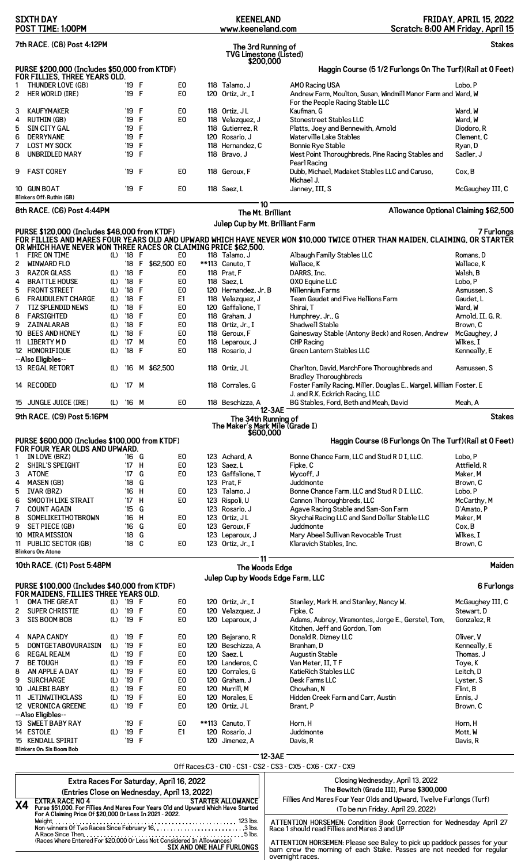|                            | <b>SIXTH DAY</b><br>POST TIME: 1:00PM                                                                                                          |            |                                  |                   |                                  |                | <b>KEENELAND</b><br>www.keeneland.com               |                                                                                                                             | <b>FRIDAY, APRIL 15, 2022</b><br>Scratch: 8:00 AM Friday, April 15 |
|----------------------------|------------------------------------------------------------------------------------------------------------------------------------------------|------------|----------------------------------|-------------------|----------------------------------|----------------|-----------------------------------------------------|-----------------------------------------------------------------------------------------------------------------------------|--------------------------------------------------------------------|
|                            | 7th RACE. (C8) Post 4:12PM                                                                                                                     |            |                                  |                   |                                  |                | The 3rd Running of<br><b>TVG Limestone (Listed)</b> |                                                                                                                             | <b>Stakes</b>                                                      |
|                            | PURSE \$200,000 (Includes \$50,000 from KTDF)<br>FOR FILLIES, THREE YEARS OLD.                                                                 |            |                                  |                   |                                  |                | \$200,000                                           | Haggin Course (51/2 Furlongs On The Turf) (Rail at 0 Feet)                                                                  |                                                                    |
| 1<br>$\mathbf{2}^{\prime}$ | THUNDER LOVE (GB)<br>HER WORLD (IRE)                                                                                                           |            | '19 F<br>'19 F                   |                   | E <sub>0</sub><br>E <sub>0</sub> |                | 118 Talamo, J<br>120 Ortiz, Jr., I                  | AMO Racing USA<br>Andrew Farm, Moulton, Susan, Windmill Manor Farm and Ward, W                                              | Lobo, P                                                            |
| 3                          | <b>KAUFYMAKER</b>                                                                                                                              |            | '19 F                            |                   | E <sub>0</sub>                   |                | 118 Ortiz, JL                                       | For the People Racing Stable LLC<br>Kaufman, G                                                                              | Ward, W                                                            |
| 4                          | RUTHIN (GB)                                                                                                                                    |            | '19                              | F                 |                                  | E <sub>0</sub> | 118 Velazquez, J                                    | Stonestreet Stables LLC                                                                                                     | Ward, W                                                            |
| 5                          | SIN CITY GAL                                                                                                                                   |            | '19                              | -F                |                                  |                | 118 Gutierrez, R                                    | Platts, Joey and Bennewith, Arnold                                                                                          | Diodoro, R                                                         |
| 6<br>7                     | <b>DERRYNANE</b><br><b>LOST MY SOCK</b>                                                                                                        |            | '19 F<br>'19                     | F                 |                                  |                | 120 Rosario. J<br>118 Hernandez, C                  | Waterville Lake Stables<br>Bonnie Rye Stable                                                                                | Clement, C<br>Ryan, D                                              |
| 8                          | <b>UNBRIDLED MARY</b>                                                                                                                          |            | '19                              | F                 |                                  |                | 118 Bravo, J                                        | West Point Thoroughbreds, Pine Racing Stables and                                                                           | Sadler, J                                                          |
| 9                          | <b>FAST COREY</b>                                                                                                                              |            | '19 F                            |                   |                                  | E <sub>0</sub> | 118 Geroux, F                                       | Pearl Racing<br>Dubb, Michael, Madaket Stables LLC and Caruso,                                                              | Cox, B                                                             |
|                            | 10 GUN BOAT<br>Blinkers Off: Ruthin (GB)                                                                                                       |            | '19 F                            |                   | E <sub>0</sub>                   |                | 118 Saez, L                                         | Michael J.<br>Janney, III, S                                                                                                | McGaughey III, C                                                   |
|                            | 8th RACE. (C6) Post 4:44PM                                                                                                                     |            |                                  |                   |                                  |                | 10<br>The Mt. Brilliant                             |                                                                                                                             | Allowance Optional Claiming \$62,500                               |
|                            |                                                                                                                                                |            |                                  |                   |                                  |                |                                                     | Julep Cup by Mt. Brilliant Farm                                                                                             |                                                                    |
|                            | PURSE \$120,000 (Includes \$48,000 from KTDF)<br>OR WHICH HAVE NEVER WON THREE RACES OR CLAIMING PRICE \$62,500.                               |            |                                  |                   |                                  |                |                                                     | FOR FILLIES AND MARES FOUR YEARS OLD AND UPWARD WHICH HAVE NEVER WON \$10,000 TWICE OTHER THAN MAIDEN, CLAIMING, OR STARTER | 7 Furlongs                                                         |
| 1                          | FIRE ON TIME                                                                                                                                   |            | (L) '18 F                        |                   |                                  | E <sub>0</sub> | 118 Talamo, J                                       | Albaugh Family Stables LLC                                                                                                  | Romans, D                                                          |
| 2<br>3                     | <b>WINWARD FLO</b><br><b>RAZOR GLASS</b>                                                                                                       | (L)        | '18<br>$^{\prime}18$             | $\mathsf{F}$<br>F | \$62,500 EO                      | E <sub>0</sub> | **113 Canuto, T<br>118 Prat, F                      | Wallace, K<br>DARRS, Inc.                                                                                                   | Wallace, K<br>Walsh, B                                             |
| 4                          | <b>BRATTLE HOUSE</b>                                                                                                                           | (L)        | $^{\prime}18$                    | F                 | E <sub>0</sub>                   |                | 118 Saez, L                                         | OXO Equine LLC                                                                                                              | Lobo, P                                                            |
| 5                          | <b>FRONT STREET</b>                                                                                                                            | (L)        | $^{\prime}18$                    | F                 | E <sub>0</sub>                   |                | 120 Hernandez, Jr, B                                | Millennium Farms                                                                                                            | Asmussen, S                                                        |
| 6                          | <b>FRAUDULENT CHARGE</b>                                                                                                                       | (L)        | $^{\prime}18$                    | F                 | E1                               |                | 118 Velazquez, J                                    | Team Gaudet and Five Hellions Farm                                                                                          | Gaudet, L                                                          |
| 7<br>8                     | TIZ SPLENDID NEWS<br><b>FARSIGHTED</b>                                                                                                         | (L)<br>(L) | $^{\prime}18$<br>$^{\prime}18$   | F<br>F            | E <sub>0</sub><br>E <sub>0</sub> |                | 120 Gaffalione, T<br>118 Graham, J                  | Shirai, T<br>Humphrey, Jr., G                                                                                               | Ward, W<br>Arnold, II, G. R.                                       |
| 9                          | ZAINALARAB                                                                                                                                     | (L)        | $^{\prime}18$                    | F                 | E <sub>0</sub>                   |                | 118 Ortiz, Jr., I                                   | Shadwell Stable                                                                                                             | Brown, C                                                           |
|                            | 10 BEES AND HONEY                                                                                                                              | (L)        | $^{\prime}$ 18                   | F                 | E <sub>0</sub>                   |                | 118 Geroux, F                                       | Gainesway Stable (Antony Beck) and Rosen, Andrew                                                                            | McGaughey, J                                                       |
|                            | 11 LIBERTY MD<br>12 HONORIFIQUE                                                                                                                | (L)<br>(L) | $^{\prime}$ 17<br>$^{\prime}18$  | M<br>F            | E <sub>0</sub>                   | E <sub>0</sub> | 118 Leparoux, J<br>118 Rosario, J                   | <b>CHP Racing</b><br>Green Lantern Stables LLC                                                                              | Wilkes, I                                                          |
|                            | --Also Eligibles--                                                                                                                             |            |                                  |                   |                                  |                |                                                     |                                                                                                                             | Kenneally, E                                                       |
|                            | 13 REGAL RETORT                                                                                                                                | (L)        | '16                              |                   | M \$62,500                       |                | 118 Ortiz, JL                                       | Charlton, David, MarchFore Thoroughbreds and<br><b>Bradley Thoroughbreds</b>                                                | Asmussen, S                                                        |
|                            | 14 RECODED                                                                                                                                     | (L)        | '17 M                            |                   |                                  |                | 118 Corrales, G                                     | Foster Family Racing, Miller, Douglas E., Wargel, William Foster, E<br>J. and R.K. Eckrich Racing, LLC                      |                                                                    |
|                            | 15 JUNGLE JUICE (IRE)                                                                                                                          | (L)        | '16 M                            |                   |                                  | E <sub>0</sub> | 118 Beschizza, A                                    | BG Stables, Ford, Beth and Meah, David                                                                                      | Meah, A                                                            |
|                            | 9th RACE. (C9) Post 5:16PM                                                                                                                     |            |                                  |                   |                                  |                | The 34th Running of                                 | 12-3AE                                                                                                                      | <b>Stakes</b>                                                      |
|                            |                                                                                                                                                |            |                                  |                   |                                  |                | \$600,000                                           | The Maker's Mark Mile (Grade I)                                                                                             |                                                                    |
|                            | PURSE \$600,000 (Includes \$100,000 from KTDF)                                                                                                 |            |                                  |                   |                                  |                |                                                     | Haggin Course (8 Furlongs On The Turf) (Rail at 0 Feet)                                                                     |                                                                    |
|                            |                                                                                                                                                |            |                                  |                   |                                  |                |                                                     |                                                                                                                             |                                                                    |
|                            | FOR FOUR YEAR OLDS AND UPWARD.                                                                                                                 |            |                                  |                   |                                  |                |                                                     |                                                                                                                             |                                                                    |
|                            | IN LOVE (BRZ)                                                                                                                                  |            | '16 G                            |                   |                                  | E0             | 123 Achard, A                                       | Bonne Chance Farm, LLC and Stud R D I, LLC.                                                                                 | Lobo, P                                                            |
| 2<br>3                     | SHIRL'S SPEIGHT<br><b>ATONE</b>                                                                                                                |            | $^{\prime}$ 17<br>$^{\prime}$ 17 | н<br>G            | E <sub>0</sub>                   | E0             | 123 Saez, L<br>123 Gaffalione, T                    | Finke, C<br>Wycoff, J                                                                                                       | Attfield, R<br>Maker, M                                            |
| 4                          | <b>MASEN (GB)</b>                                                                                                                              |            | $^{\prime}18$                    | G                 |                                  |                | 123 Prat, F                                         | Juddmonte                                                                                                                   | Brown, C                                                           |
| 5                          | <b>IVAR (BRZ)</b>                                                                                                                              |            | '16                              | н                 |                                  | E0             | 123 Talamo, J                                       | Bonne Chance Farm, LLC and Stud R D I, LLC.                                                                                 | Lobo, P                                                            |
| 6<br>7                     | <b>SMOOTH LIKE STRAIT</b><br><b>COUNT AGAIN</b>                                                                                                |            | $^{\prime}$ 17<br>$^{\prime}15$  | н<br>G            |                                  | E <sub>0</sub> | 123 Rispoli, U<br>123 Rosario, J                    | Cannon Thoroughbreds, LLC<br>Agave Racing Stable and Sam-Son Farm                                                           | McCarthy, M<br>D'Amato, P                                          |
| 8                          | SOMELIKEITHOTBROWN                                                                                                                             |            | '16                              | н                 | E <sub>0</sub>                   |                | 123 Ortiz, JL                                       | Skychai Racing LLC and Sand Dollar Stable LLC                                                                               | Maker, M                                                           |
| 9                          | SET PIECE (GB)                                                                                                                                 |            | $^{\prime}16$                    | G                 |                                  | E <sub>0</sub> | 123 Geroux, F                                       | Juddmonte                                                                                                                   | Cox, B                                                             |
|                            | 10 MIRA MISSION<br>11 PUBLIC SECTOR (GB)                                                                                                       |            | $^{\prime}18$<br>'18             | G<br>C            | E <sub>0</sub>                   |                | 123 Leparoux, J<br>123 Ortiz, Jr., I                | Mary Abeel Sullivan Revocable Trust<br>Klaravich Stables, Inc.                                                              | Wilkes, I<br>Brown, C                                              |
|                            | Blinkers On: Atone                                                                                                                             |            |                                  |                   |                                  |                |                                                     |                                                                                                                             |                                                                    |
|                            | 10th RACE. (C1) Post 5:48PM                                                                                                                    |            |                                  |                   |                                  |                | $11^{\circ}$<br>The Woods Edge                      |                                                                                                                             |                                                                    |
|                            |                                                                                                                                                |            |                                  |                   |                                  |                |                                                     | Julep Cup by Woods Edge Farm, LLC                                                                                           | Maiden                                                             |
|                            | PURSE \$100,000 (Includes \$40,000 from KTDF)                                                                                                  |            |                                  |                   |                                  |                |                                                     |                                                                                                                             | 6 Furlongs                                                         |
|                            | FOR MAIDENS, FILLIES THREE YEARS OLD.<br>OMA THE GREAT                                                                                         | (L)        | '19 F                            |                   |                                  | E0             | 120 Ortiz, Jr., I                                   | Stanley, Mark H. and Stanley, Nancy W.                                                                                      | McGaughey III, C                                                   |
| 2                          | SUPER CHRISTIE                                                                                                                                 | (L)        | '19 F                            |                   | E <sub>0</sub>                   |                | 120 Velazquez, J                                    | Fipke, C                                                                                                                    | Stewart, D                                                         |
| 3                          | SIS BOOM BOB                                                                                                                                   | (L)        | '19 F                            |                   |                                  | E <sub>0</sub> | 120 Leparoux, J                                     | Adams, Aubrey, Viramontes, Jorge E., Gerstel, Tom,                                                                          | Gonzalez, R                                                        |
| 4                          | <b>NAPA CANDY</b>                                                                                                                              | (L)        | '19                              | F                 |                                  | E <sub>0</sub> | 120 Bejarano, R                                     | Kitchen, Jeff and Gordon, Tom<br>Donald R. Dizney LLC                                                                       | Oliver, V                                                          |
| 5                          | DONTGETABOVURAISIN                                                                                                                             | (L)        | '19                              | F                 | E <sub>0</sub>                   |                | 120 Beschizza, A                                    | Branham, D                                                                                                                  | Kenneally, E                                                       |
| 6                          | <b>REGAL REALM</b>                                                                                                                             | (L)        | '19                              | F                 |                                  | E <sub>0</sub> | 120 Saez, L                                         | Augustin Stable                                                                                                             | Thomas, J                                                          |
| 7<br>8                     | <b>BE TOUGH</b><br>AN APPLE A DAY                                                                                                              | (L)<br>(L) | '19<br>'19                       | F<br>F            | E <sub>0</sub>                   | E <sub>0</sub> | 120 Landeros, C<br>120 Corrales, G                  | Van Meter, II, TF<br>KatieRich Stables LLC                                                                                  | Toye, K<br>Leitch, D                                               |
| 9                          | <b>SURCHARGE</b>                                                                                                                               | (L)        | '19                              | F                 | E <sub>0</sub>                   |                | 120 Graham, J                                       | Desk Farms LLC                                                                                                              | Lyster, S                                                          |
| 10                         | JALEBI BABY                                                                                                                                    | (L)        | '19                              | F                 | E <sub>0</sub>                   |                | 120 Murrill, M                                      | Chowhan, N                                                                                                                  | Flint, B                                                           |
| 11                         | <b>JETINWITHCLASS</b>                                                                                                                          | (L)        | '19                              | F                 | E <sub>0</sub>                   |                | 120 Morales, E                                      | Hidden Creek Farm and Carr, Austin                                                                                          | Ennis, J                                                           |
|                            | 12 VERONICA GREENE<br>--Also Eligibles--                                                                                                       | (L)        | '19                              | F                 | E <sub>0</sub>                   |                | 120 Ortiz, JL                                       | Brant, P                                                                                                                    | Brown, C                                                           |
|                            | 13 SWEET BABY RAY                                                                                                                              |            | '19                              | F                 | E <sub>0</sub>                   |                | **113 Canuto, T                                     | Horn, H                                                                                                                     | Horn, H                                                            |
|                            | 14 ESTOLE                                                                                                                                      | (L)        | '19                              | F                 | E1                               |                | 120 Rosario, J                                      | Juddmonte                                                                                                                   | Mott. W                                                            |
|                            | 15 KENDALL SPIRIT<br>Blinkers On: Sis Boom Bob                                                                                                 |            | '19 F                            |                   |                                  |                | 120 Jimenez, A                                      | Davis, R                                                                                                                    | Davis, R                                                           |
|                            |                                                                                                                                                |            |                                  |                   |                                  |                |                                                     | 12-3AE<br>Off Races:C3 - C10 - CS1 - CS2 - CS3 - CX5 - CX6 - CX7 - CX9                                                      |                                                                    |
|                            |                                                                                                                                                |            |                                  |                   |                                  |                |                                                     |                                                                                                                             |                                                                    |
|                            | Extra Races For Saturday, April 16, 2022                                                                                                       |            |                                  |                   |                                  |                |                                                     | Closing Wednesday, April 13, 2022<br>The Bewitch (Grade III), Purse \$300,000                                               |                                                                    |
|                            | (Entries Close on Wednesday, April 13, 2022)<br><b>EXTRA RACE NO 4</b>                                                                         |            |                                  |                   |                                  |                | <b>STARTER ALLOWANCE</b>                            | Fillies And Mares Four Year Olds and Upward, Twelve Furlongs (Turf)                                                         |                                                                    |
| X4                         | Purse \$51,000. For Fillies And Mares Four Years Old and Upward Which Have Started<br>For A Claiming Price Of \$20,000 Or Less In 2021 - 2022. |            |                                  |                   |                                  |                |                                                     | (To be run Friday, April 29, 2022)                                                                                          |                                                                    |
|                            | Weight                                                                                                                                         |            |                                  |                   |                                  |                |                                                     | ATTENTION HORSEMEN: Condition Book Correction for Wednesday April 27                                                        |                                                                    |
|                            | (Races Where Entered For \$20,000 Or Less Not Considered In Allowances)                                                                        |            |                                  |                   |                                  |                |                                                     | Race 1 should read Fillies and Mares 3 and UP<br>ATTENTION HORSEMEN: Please see Baley to pick up paddock passes for your    |                                                                    |

ATTENTION HORSEMEN: Please see Baley to pick up paddock passes for your barn crew the morning of each Stake. Passes are not needed for regular overnight races.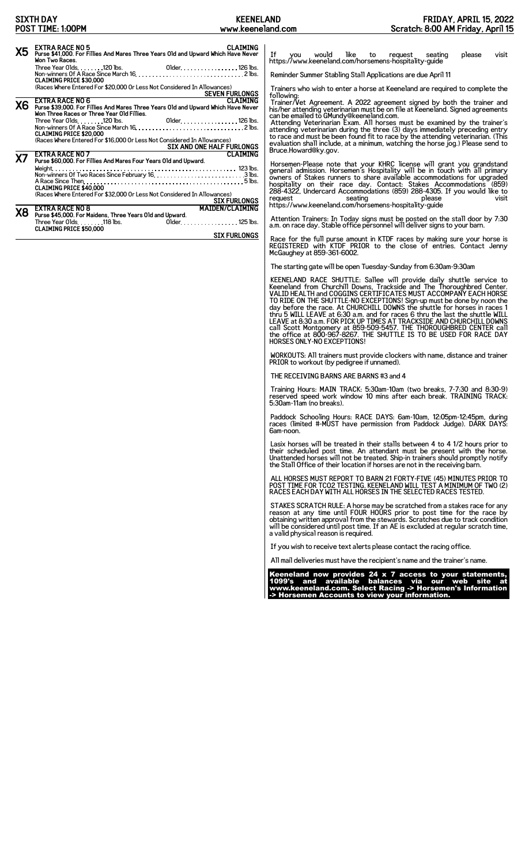## **SIXTH DAY POST TIME: 1:00PM**

| <b>X5</b> | <b>EXTRA RACE NO 5</b><br>CI ATMING<br>Purse \$41,000. For Fillies And Mares Three Years Old and Upward Which Have Never<br>Won Two Races.                             |
|-----------|------------------------------------------------------------------------------------------------------------------------------------------------------------------------|
|           | <b>CLAIMING PRICE \$30,000</b>                                                                                                                                         |
|           | (Races Where Entered For \$20,000 Or Less Not Considered In Allowances)<br><b>SEVEN FURLONGS</b>                                                                       |
| <b>X6</b> | <b>EXTRA RACE NO 6</b><br>CI ATMTNG<br>Purse \$39,000. For Fillies And Mares Three Years Old and Upward Which Have Never<br>Won Three Races or Three Year Old Fillies. |
|           | <b>CLAIMING PRICE \$20,000</b>                                                                                                                                         |
|           | (Races Where Entered For \$16,000 Or Less Not Considered In Allowances)<br>SIX AND ONE HALF FURLONGS                                                                   |
| Х7        | <b>EXTRA RACE NO 7</b><br>CI ATMING<br>Purse \$60,000. For Fillies And Mares Four Years Old and Upward.                                                                |
|           | <b>CLAIMING PRICE \$40,000</b>                                                                                                                                         |
|           | (Races Where Entered For \$32,000 Or Less Not Considered In Allowances)<br><b>SIX FURLONGS</b>                                                                         |
| Χ8        | <b>MAIDEN/CLAIMING</b><br><b>EXTRA RACE NO 8</b>                                                                                                                       |
|           | Purse \$45,000. For Maidens, Three Years Old and Upward.<br>Three Year Olds. 118 lbs.<br>Older. 125 lbs.<br><b>CLAIMING PRICE \$50,000</b>                             |
|           | <b>SIX FURLONGS</b>                                                                                                                                                    |

If you would like to request seating please visit https://www.keeneland.com/horsemens-hospitality-guide

Reminder Summer Stabling Stall Applications are due April 11

Trainers who wish to enter a horse at Keeneland are required to complete the

following:<br>Trainer/Vet Agreement. A 2022 agreement signed by both the trainer and<br>his/her attending veterinarian must be on file at Keeneland. Signed agreements<br>can be emailed to GMundy@keeneland.com.<br>Attending Veterinaria

Horsemen-Please note that your KHRC license will grant you grandstand<br>general admission. Horsemen's Hospitality will be in touch with all primary<br>owners of Stakes runners to share available accommodations for upgraded<br>hosp

Attention Trainers: In Today signs must be posted on the stall door by 7:30 a.m. on race day. Stable office personnel will deliver signs to your barn.

Race for the full purse amount in KTDF races by making sure your horse is REGISTERED with KTDF PRIOR to the close of entries. Contact Jenny McGaughey at 859-361-6002.

The starting gate will be open Tuesday-Sunday from 6:30am-9:30am

KEENELAND RACE SHUTTLE: Sallee will provide daily shuttle service to<br>Keeneland from Churchill Downs, Trackside and The Thoroughbred Center.<br>VALID HEALTH and COGGINS CERTIFICATES MUST ACCOMPANY EACH HORSE<br>TO RIDE ON THE SHU HORSES ONLY-NO EXCEPTIONS!

WORKOUTS: All trainers must provide clockers with name, distance and trainer PRIOR to workout (by pedigree if unnamed).

THE RECEIVING BARNS ARE BARNS #3 and 4

Training Hours: MAIN TRACK: 5:30am-10am (two breaks, 7-7:30 and 8:30-9) reserved speed work window 10 mins after each break. TRAINING TRACK: 5:30am-11am (no breaks).

Paddock Schooling Hours: RACE DAYS: 6am-10am, 12:05pm-12:45pm, during races (limited #-MUST have permission from Paddock Judge). DARK DAYS: 6am-noon.

Lasix horses will be treated in their stalls between 4 to 4 1/2 hours prior to their scheduled post time. An attendant must be present with the horse. Unattended horses will not be treated. Ship-in trainers should promptly notify the Stall Office of their location if horses are not in the receiving barn.

ALL HORSES MUST REPORT TO BARN 21 FORTY-FIVE (45) MINUTES PRIOR TO POST TIME FOR TCO2 TESTING. KEENELAND WILL TEST A MINIMUM OF TWO (2) RACES EACH DAY WITH ALL HORSES IN THE SELECTED RACES TESTED.

STAKES SCRATCH RULE: A horse may be scratched from a stakes race for any<br>reason at any time until FOUR HOURS prior to post time for the race by<br>obtaining written approval from the stewards. Scratches due to track condition

If you wish to receive text alerts please contact the racing office.

All mail deliveries must have the recipient's name and the trainer's name.

Keeneland now provides 24 x 7 access to your statements, 1099's and available balances via our web site at www.keeneland.com. Select Racing -> Horsemen's Information -> Horsemen Accounts to view your information.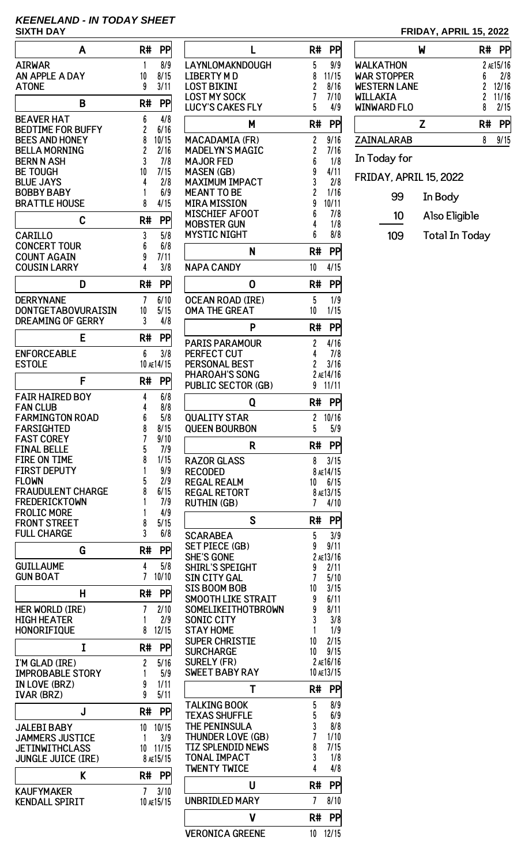## **KEENELAND - IN TODAY SHEET**

| 1<br><b>AIRWAR</b><br>8/9<br>AN APPLE A DAY<br>10<br>8/15<br><b>ATONE</b><br>9<br>3/11<br>PP<br>B<br>R#<br><b>BEAVER HAT</b><br>6<br>4/8<br>2<br>BEDTIME FOR BUFFY<br>6/16<br>8<br><b>BEES AND HONEY</b><br>10/15<br>$\overline{c}$<br>BELLA MORNING<br>2/16<br>3<br>BERN N ASH<br>7/8<br>7/15<br>BE TOUGH<br>10<br><b>BLUE JAYS</b><br>4<br>2/8<br><b>BOBBY BABY</b><br>1<br>6/9<br><b>BRATTLE HOUSE</b><br>4/15<br>8<br>C<br>R#<br>PP<br>3<br><b>CARILLO</b><br>5/8<br>6<br><b>CONCERT TOUR</b><br>6/8<br>9<br><b>COUNT AGAIN</b><br>7/11<br>4<br><b>COUSIN LARRY</b><br>3/8<br>R#<br>PP<br>D<br>DERRYNANE<br>7<br>6/10<br>DONTGETABOVURAISIN<br>10<br>5/15<br>DREAMING OF GERRY<br>3<br>4/8<br>E<br>R#<br>PP<br><b>ENFORCEABLE</b><br>6<br>3/8<br>ESTOLE<br>10 AE14/15<br>F<br>R#<br>PP<br>FAIR HAIRED BOY<br>4<br>6/8<br><b>FAN CLUB</b><br>4<br>8/8<br><b>FARMINGTON ROAD</b><br>6<br>5/8<br>FARSIGHTED<br>8<br>8/15<br>7<br><b>FAST COREY</b><br>9/10<br><b>FINAL BELLE</b><br>5<br>7/9<br>8<br>1/15<br><b>FIRE ON TIME</b><br><b>FIRST DEPUTY</b><br>9/9<br>1<br><b>FLOWN</b><br>5<br>2/9<br><b>FRAUDULENT CHARGE</b><br>6/15<br>8<br><b>FREDERICKTOWN</b><br>1<br>7/9<br><b>FROLIC MORE</b><br>1<br>4/9<br><b>FRONT STREET</b><br>8<br>5/15<br>3<br><b>FULL CHARGE</b><br>6/8<br>PP<br>G<br>R#<br>4<br><b>GUILLAUME</b><br>5/8<br>7<br><b>GUN BOAT</b><br>10/10<br>н<br>R#<br>PP<br>Her World (Ire)<br>2/10<br>7<br><b>HIGH HEATER</b><br>2/9<br>1<br><b>HONORIFIQUE</b><br>12/15<br>8<br>R#<br>I<br>PP<br>$\overline{c}$<br>I'M GLAD (IRE)<br>5/16<br><b>IMPROBABLE STORY</b><br>5/9<br>1<br>IN LOVE (BRZ)<br>9<br>1/11<br>9<br><b>IVAR (BRZ)</b><br>5/11<br>R#<br>PP<br>J<br>10/15<br><b>JALEBI BABY</b><br>10<br><b>JAMMERS JUSTICE</b><br>1<br>3/9<br><b>JETINWITHCLASS</b><br>10<br>11/15<br><b>JUNGLE JUICE (IRE)</b><br>8 AE15/15<br>K<br>R#<br>PP<br><b>KAUFYMAKER</b><br>7<br>3/10<br>KENDALL SPIRIT<br>10 ae15/15 | Α | R# | PP |
|-------------------------------------------------------------------------------------------------------------------------------------------------------------------------------------------------------------------------------------------------------------------------------------------------------------------------------------------------------------------------------------------------------------------------------------------------------------------------------------------------------------------------------------------------------------------------------------------------------------------------------------------------------------------------------------------------------------------------------------------------------------------------------------------------------------------------------------------------------------------------------------------------------------------------------------------------------------------------------------------------------------------------------------------------------------------------------------------------------------------------------------------------------------------------------------------------------------------------------------------------------------------------------------------------------------------------------------------------------------------------------------------------------------------------------------------------------------------------------------------------------------------------------------------------------------------------------------------------------------------------------------------------------------------------------------------------------------------------------------------------------------------------------------------------------------------------------------------------------------------------------------------------------------------------------------|---|----|----|
|                                                                                                                                                                                                                                                                                                                                                                                                                                                                                                                                                                                                                                                                                                                                                                                                                                                                                                                                                                                                                                                                                                                                                                                                                                                                                                                                                                                                                                                                                                                                                                                                                                                                                                                                                                                                                                                                                                                                     |   |    |    |
|                                                                                                                                                                                                                                                                                                                                                                                                                                                                                                                                                                                                                                                                                                                                                                                                                                                                                                                                                                                                                                                                                                                                                                                                                                                                                                                                                                                                                                                                                                                                                                                                                                                                                                                                                                                                                                                                                                                                     |   |    |    |
|                                                                                                                                                                                                                                                                                                                                                                                                                                                                                                                                                                                                                                                                                                                                                                                                                                                                                                                                                                                                                                                                                                                                                                                                                                                                                                                                                                                                                                                                                                                                                                                                                                                                                                                                                                                                                                                                                                                                     |   |    |    |
|                                                                                                                                                                                                                                                                                                                                                                                                                                                                                                                                                                                                                                                                                                                                                                                                                                                                                                                                                                                                                                                                                                                                                                                                                                                                                                                                                                                                                                                                                                                                                                                                                                                                                                                                                                                                                                                                                                                                     |   |    |    |
|                                                                                                                                                                                                                                                                                                                                                                                                                                                                                                                                                                                                                                                                                                                                                                                                                                                                                                                                                                                                                                                                                                                                                                                                                                                                                                                                                                                                                                                                                                                                                                                                                                                                                                                                                                                                                                                                                                                                     |   |    |    |
|                                                                                                                                                                                                                                                                                                                                                                                                                                                                                                                                                                                                                                                                                                                                                                                                                                                                                                                                                                                                                                                                                                                                                                                                                                                                                                                                                                                                                                                                                                                                                                                                                                                                                                                                                                                                                                                                                                                                     |   |    |    |
|                                                                                                                                                                                                                                                                                                                                                                                                                                                                                                                                                                                                                                                                                                                                                                                                                                                                                                                                                                                                                                                                                                                                                                                                                                                                                                                                                                                                                                                                                                                                                                                                                                                                                                                                                                                                                                                                                                                                     |   |    |    |
|                                                                                                                                                                                                                                                                                                                                                                                                                                                                                                                                                                                                                                                                                                                                                                                                                                                                                                                                                                                                                                                                                                                                                                                                                                                                                                                                                                                                                                                                                                                                                                                                                                                                                                                                                                                                                                                                                                                                     |   |    |    |
|                                                                                                                                                                                                                                                                                                                                                                                                                                                                                                                                                                                                                                                                                                                                                                                                                                                                                                                                                                                                                                                                                                                                                                                                                                                                                                                                                                                                                                                                                                                                                                                                                                                                                                                                                                                                                                                                                                                                     |   |    |    |
|                                                                                                                                                                                                                                                                                                                                                                                                                                                                                                                                                                                                                                                                                                                                                                                                                                                                                                                                                                                                                                                                                                                                                                                                                                                                                                                                                                                                                                                                                                                                                                                                                                                                                                                                                                                                                                                                                                                                     |   |    |    |
|                                                                                                                                                                                                                                                                                                                                                                                                                                                                                                                                                                                                                                                                                                                                                                                                                                                                                                                                                                                                                                                                                                                                                                                                                                                                                                                                                                                                                                                                                                                                                                                                                                                                                                                                                                                                                                                                                                                                     |   |    |    |
|                                                                                                                                                                                                                                                                                                                                                                                                                                                                                                                                                                                                                                                                                                                                                                                                                                                                                                                                                                                                                                                                                                                                                                                                                                                                                                                                                                                                                                                                                                                                                                                                                                                                                                                                                                                                                                                                                                                                     |   |    |    |
|                                                                                                                                                                                                                                                                                                                                                                                                                                                                                                                                                                                                                                                                                                                                                                                                                                                                                                                                                                                                                                                                                                                                                                                                                                                                                                                                                                                                                                                                                                                                                                                                                                                                                                                                                                                                                                                                                                                                     |   |    |    |
|                                                                                                                                                                                                                                                                                                                                                                                                                                                                                                                                                                                                                                                                                                                                                                                                                                                                                                                                                                                                                                                                                                                                                                                                                                                                                                                                                                                                                                                                                                                                                                                                                                                                                                                                                                                                                                                                                                                                     |   |    |    |
|                                                                                                                                                                                                                                                                                                                                                                                                                                                                                                                                                                                                                                                                                                                                                                                                                                                                                                                                                                                                                                                                                                                                                                                                                                                                                                                                                                                                                                                                                                                                                                                                                                                                                                                                                                                                                                                                                                                                     |   |    |    |
|                                                                                                                                                                                                                                                                                                                                                                                                                                                                                                                                                                                                                                                                                                                                                                                                                                                                                                                                                                                                                                                                                                                                                                                                                                                                                                                                                                                                                                                                                                                                                                                                                                                                                                                                                                                                                                                                                                                                     |   |    |    |
|                                                                                                                                                                                                                                                                                                                                                                                                                                                                                                                                                                                                                                                                                                                                                                                                                                                                                                                                                                                                                                                                                                                                                                                                                                                                                                                                                                                                                                                                                                                                                                                                                                                                                                                                                                                                                                                                                                                                     |   |    |    |
|                                                                                                                                                                                                                                                                                                                                                                                                                                                                                                                                                                                                                                                                                                                                                                                                                                                                                                                                                                                                                                                                                                                                                                                                                                                                                                                                                                                                                                                                                                                                                                                                                                                                                                                                                                                                                                                                                                                                     |   |    |    |
|                                                                                                                                                                                                                                                                                                                                                                                                                                                                                                                                                                                                                                                                                                                                                                                                                                                                                                                                                                                                                                                                                                                                                                                                                                                                                                                                                                                                                                                                                                                                                                                                                                                                                                                                                                                                                                                                                                                                     |   |    |    |
|                                                                                                                                                                                                                                                                                                                                                                                                                                                                                                                                                                                                                                                                                                                                                                                                                                                                                                                                                                                                                                                                                                                                                                                                                                                                                                                                                                                                                                                                                                                                                                                                                                                                                                                                                                                                                                                                                                                                     |   |    |    |
|                                                                                                                                                                                                                                                                                                                                                                                                                                                                                                                                                                                                                                                                                                                                                                                                                                                                                                                                                                                                                                                                                                                                                                                                                                                                                                                                                                                                                                                                                                                                                                                                                                                                                                                                                                                                                                                                                                                                     |   |    |    |
|                                                                                                                                                                                                                                                                                                                                                                                                                                                                                                                                                                                                                                                                                                                                                                                                                                                                                                                                                                                                                                                                                                                                                                                                                                                                                                                                                                                                                                                                                                                                                                                                                                                                                                                                                                                                                                                                                                                                     |   |    |    |
|                                                                                                                                                                                                                                                                                                                                                                                                                                                                                                                                                                                                                                                                                                                                                                                                                                                                                                                                                                                                                                                                                                                                                                                                                                                                                                                                                                                                                                                                                                                                                                                                                                                                                                                                                                                                                                                                                                                                     |   |    |    |
|                                                                                                                                                                                                                                                                                                                                                                                                                                                                                                                                                                                                                                                                                                                                                                                                                                                                                                                                                                                                                                                                                                                                                                                                                                                                                                                                                                                                                                                                                                                                                                                                                                                                                                                                                                                                                                                                                                                                     |   |    |    |
|                                                                                                                                                                                                                                                                                                                                                                                                                                                                                                                                                                                                                                                                                                                                                                                                                                                                                                                                                                                                                                                                                                                                                                                                                                                                                                                                                                                                                                                                                                                                                                                                                                                                                                                                                                                                                                                                                                                                     |   |    |    |
|                                                                                                                                                                                                                                                                                                                                                                                                                                                                                                                                                                                                                                                                                                                                                                                                                                                                                                                                                                                                                                                                                                                                                                                                                                                                                                                                                                                                                                                                                                                                                                                                                                                                                                                                                                                                                                                                                                                                     |   |    |    |
|                                                                                                                                                                                                                                                                                                                                                                                                                                                                                                                                                                                                                                                                                                                                                                                                                                                                                                                                                                                                                                                                                                                                                                                                                                                                                                                                                                                                                                                                                                                                                                                                                                                                                                                                                                                                                                                                                                                                     |   |    |    |
|                                                                                                                                                                                                                                                                                                                                                                                                                                                                                                                                                                                                                                                                                                                                                                                                                                                                                                                                                                                                                                                                                                                                                                                                                                                                                                                                                                                                                                                                                                                                                                                                                                                                                                                                                                                                                                                                                                                                     |   |    |    |
|                                                                                                                                                                                                                                                                                                                                                                                                                                                                                                                                                                                                                                                                                                                                                                                                                                                                                                                                                                                                                                                                                                                                                                                                                                                                                                                                                                                                                                                                                                                                                                                                                                                                                                                                                                                                                                                                                                                                     |   |    |    |
|                                                                                                                                                                                                                                                                                                                                                                                                                                                                                                                                                                                                                                                                                                                                                                                                                                                                                                                                                                                                                                                                                                                                                                                                                                                                                                                                                                                                                                                                                                                                                                                                                                                                                                                                                                                                                                                                                                                                     |   |    |    |
|                                                                                                                                                                                                                                                                                                                                                                                                                                                                                                                                                                                                                                                                                                                                                                                                                                                                                                                                                                                                                                                                                                                                                                                                                                                                                                                                                                                                                                                                                                                                                                                                                                                                                                                                                                                                                                                                                                                                     |   |    |    |
|                                                                                                                                                                                                                                                                                                                                                                                                                                                                                                                                                                                                                                                                                                                                                                                                                                                                                                                                                                                                                                                                                                                                                                                                                                                                                                                                                                                                                                                                                                                                                                                                                                                                                                                                                                                                                                                                                                                                     |   |    |    |
|                                                                                                                                                                                                                                                                                                                                                                                                                                                                                                                                                                                                                                                                                                                                                                                                                                                                                                                                                                                                                                                                                                                                                                                                                                                                                                                                                                                                                                                                                                                                                                                                                                                                                                                                                                                                                                                                                                                                     |   |    |    |
|                                                                                                                                                                                                                                                                                                                                                                                                                                                                                                                                                                                                                                                                                                                                                                                                                                                                                                                                                                                                                                                                                                                                                                                                                                                                                                                                                                                                                                                                                                                                                                                                                                                                                                                                                                                                                                                                                                                                     |   |    |    |
|                                                                                                                                                                                                                                                                                                                                                                                                                                                                                                                                                                                                                                                                                                                                                                                                                                                                                                                                                                                                                                                                                                                                                                                                                                                                                                                                                                                                                                                                                                                                                                                                                                                                                                                                                                                                                                                                                                                                     |   |    |    |
|                                                                                                                                                                                                                                                                                                                                                                                                                                                                                                                                                                                                                                                                                                                                                                                                                                                                                                                                                                                                                                                                                                                                                                                                                                                                                                                                                                                                                                                                                                                                                                                                                                                                                                                                                                                                                                                                                                                                     |   |    |    |
|                                                                                                                                                                                                                                                                                                                                                                                                                                                                                                                                                                                                                                                                                                                                                                                                                                                                                                                                                                                                                                                                                                                                                                                                                                                                                                                                                                                                                                                                                                                                                                                                                                                                                                                                                                                                                                                                                                                                     |   |    |    |
|                                                                                                                                                                                                                                                                                                                                                                                                                                                                                                                                                                                                                                                                                                                                                                                                                                                                                                                                                                                                                                                                                                                                                                                                                                                                                                                                                                                                                                                                                                                                                                                                                                                                                                                                                                                                                                                                                                                                     |   |    |    |
|                                                                                                                                                                                                                                                                                                                                                                                                                                                                                                                                                                                                                                                                                                                                                                                                                                                                                                                                                                                                                                                                                                                                                                                                                                                                                                                                                                                                                                                                                                                                                                                                                                                                                                                                                                                                                                                                                                                                     |   |    |    |
|                                                                                                                                                                                                                                                                                                                                                                                                                                                                                                                                                                                                                                                                                                                                                                                                                                                                                                                                                                                                                                                                                                                                                                                                                                                                                                                                                                                                                                                                                                                                                                                                                                                                                                                                                                                                                                                                                                                                     |   |    |    |
|                                                                                                                                                                                                                                                                                                                                                                                                                                                                                                                                                                                                                                                                                                                                                                                                                                                                                                                                                                                                                                                                                                                                                                                                                                                                                                                                                                                                                                                                                                                                                                                                                                                                                                                                                                                                                                                                                                                                     |   |    |    |
|                                                                                                                                                                                                                                                                                                                                                                                                                                                                                                                                                                                                                                                                                                                                                                                                                                                                                                                                                                                                                                                                                                                                                                                                                                                                                                                                                                                                                                                                                                                                                                                                                                                                                                                                                                                                                                                                                                                                     |   |    |    |
|                                                                                                                                                                                                                                                                                                                                                                                                                                                                                                                                                                                                                                                                                                                                                                                                                                                                                                                                                                                                                                                                                                                                                                                                                                                                                                                                                                                                                                                                                                                                                                                                                                                                                                                                                                                                                                                                                                                                     |   |    |    |
|                                                                                                                                                                                                                                                                                                                                                                                                                                                                                                                                                                                                                                                                                                                                                                                                                                                                                                                                                                                                                                                                                                                                                                                                                                                                                                                                                                                                                                                                                                                                                                                                                                                                                                                                                                                                                                                                                                                                     |   |    |    |
|                                                                                                                                                                                                                                                                                                                                                                                                                                                                                                                                                                                                                                                                                                                                                                                                                                                                                                                                                                                                                                                                                                                                                                                                                                                                                                                                                                                                                                                                                                                                                                                                                                                                                                                                                                                                                                                                                                                                     |   |    |    |
|                                                                                                                                                                                                                                                                                                                                                                                                                                                                                                                                                                                                                                                                                                                                                                                                                                                                                                                                                                                                                                                                                                                                                                                                                                                                                                                                                                                                                                                                                                                                                                                                                                                                                                                                                                                                                                                                                                                                     |   |    |    |
|                                                                                                                                                                                                                                                                                                                                                                                                                                                                                                                                                                                                                                                                                                                                                                                                                                                                                                                                                                                                                                                                                                                                                                                                                                                                                                                                                                                                                                                                                                                                                                                                                                                                                                                                                                                                                                                                                                                                     |   |    |    |
|                                                                                                                                                                                                                                                                                                                                                                                                                                                                                                                                                                                                                                                                                                                                                                                                                                                                                                                                                                                                                                                                                                                                                                                                                                                                                                                                                                                                                                                                                                                                                                                                                                                                                                                                                                                                                                                                                                                                     |   |    |    |
|                                                                                                                                                                                                                                                                                                                                                                                                                                                                                                                                                                                                                                                                                                                                                                                                                                                                                                                                                                                                                                                                                                                                                                                                                                                                                                                                                                                                                                                                                                                                                                                                                                                                                                                                                                                                                                                                                                                                     |   |    |    |

| L                                               | R#<br>PP                            |
|-------------------------------------------------|-------------------------------------|
| LAYNLOMAKNDOUGH                                 | 9/9<br>5                            |
| <b>LIBERTY MD</b>                               | 8<br>11/15                          |
| LOST BIKINI<br><b>LOST MY SOCK</b>              | 2<br>8/16<br>7<br>7/10              |
| <b>LUCY'S CAKES FLY</b>                         | 5<br>4/9                            |
| М                                               | R#<br>PP                            |
| <b>MACADAMIA (FR)</b>                           | 2<br>9/16                           |
| <b>MADELYN'S MAGIC</b><br><b>MAJOR FED</b>      | 2<br>7/16<br>6<br>1/8               |
| <b>MASEN (GB)</b>                               | 9<br>4/11                           |
| <b>MAXIMUM IMPACT</b>                           | 3<br>2/8                            |
| MEANT TO BE                                     | $\overline{c}$<br>1/16              |
| <b>MIRA MISSION</b><br><b>MISCHIEF AFOOT</b>    | 9<br>10/11<br>6<br>7/8              |
| <b>MOBSTER GUN</b>                              | 4<br>1/8                            |
| <b>MYSTIC NIGHT</b>                             | 6<br>8/8                            |
| N                                               | PP<br>R#                            |
| <b>NAPA CANDY</b>                               | 10<br>4/15                          |
| 0                                               | PP<br>R#                            |
| <b>OCEAN ROAD (IRE)</b><br><b>OMA THE GREAT</b> | 5<br>1/9<br>10<br>1/15              |
| P                                               | R#<br>PP                            |
| <b>PARIS PARAMOUR</b>                           | 2<br>4/16                           |
| PERFECT CUT                                     | 4<br>7/8                            |
| <b>PERSONAL BEST</b>                            | $\overline{c}$<br>3/16              |
| PHAROAH'S SONG                                  | 2 AE14/16                           |
| <b>PUBLIC SECTOR (GB)</b>                       | 11/11<br>9                          |
| Q                                               | R#<br>PP                            |
| <b>QUALITY STAR</b><br><b>QUEEN BOURBON</b>     | $\overline{c}$<br>10/16<br>5<br>5/9 |
| R                                               | PP<br>R#                            |
| <b>RAZOR GLASS</b>                              | 3/15<br>8                           |
| <b>RECODED</b>                                  | 8 AE14/15                           |
| <b>REGAL REALM</b>                              | 10<br>6/15                          |
| <b>REGAL RETORT</b><br><b>RUTHIN (GB)</b>       | 8 AE13/15<br>7<br>4/10              |
| S                                               | R#<br>PP                            |
| <b>SCARABEA</b>                                 | 5<br>3/9                            |
| <b>SET PIECE (GB)</b>                           | 9<br>9/11                           |
| <b>SHE'S GONE</b>                               | 2 AE13/16                           |
| <b>SHIRL'S SPEIGHT</b>                          | 9<br>2/11                           |
| <b>SIN CITY GAL</b><br><b>SIS BOOM BOB</b>      | 7<br>5/10<br>10<br>3/15             |
| <b>SMOOTH LIKE STRAIT</b>                       | 9<br>6/11                           |
| SOMELIKEITHOTBROWN                              | 9<br>8/11                           |
| <b>SONIC CITY</b>                               | 3<br>3/8                            |
| <b>STAY HOME</b><br><b>SUPER CHRISTIE</b>       | 1<br>1/9<br>10<br>2/15              |
| <b>SURCHARGE</b>                                | 10<br>9/15                          |
| <b>SURELY (FR)</b>                              | 2 AE16/16                           |
| <b>SWEET BABY RAY</b>                           | 10 AE13/15                          |
| т                                               | R#<br>PP                            |
| <b>TALKING BOOK</b><br><b>TEXAS SHUFFLE</b>     | 5<br>8/9<br>6/9                     |
| THE PENINSULA                                   | 5<br>3<br>8/8                       |
| <b>THUNDER LOVE (GB)</b>                        | 7<br>1/10                           |
| <b>TIZ SPLENDID NEWS</b>                        | 8<br>7/15                           |
| <b>TONAL IMPACT</b><br><b>TWENTY TWICE</b>      | 3<br>1/8<br>4<br>4/8                |
| U                                               | R#<br>PP                            |
| <b>UNBRIDLED MARY</b>                           | 7<br>8/10                           |
| V                                               | R#<br>РP                            |
| <b>VERONICA GREENE</b>                          | 10<br>12/15                         |
|                                                 |                                     |

## **SIXTH DAY, APRIL 15, 2022**

|                        | W             | R# |           |
|------------------------|---------------|----|-----------|
| WALKATHON              |               |    | 2 AE15/16 |
| <b>WAR STOPPER</b>     |               | 6  | 2/8       |
| <b>WESTERN LANE</b>    |               | 2  | 12/16     |
| WILLAKIA               |               | 2  | 11/16     |
| <b>WINWARD FLO</b>     |               | 8  | 2/15      |
|                        | Z             | R# | РP        |
| ZAINALARAB             |               | 8  | 9/15      |
| In Today for           |               |    |           |
| FRIDAY, APRIL 15, 2022 |               |    |           |
| 99                     | In Body       |    |           |
| 10                     | Also Eligible |    |           |

109 Total In Today